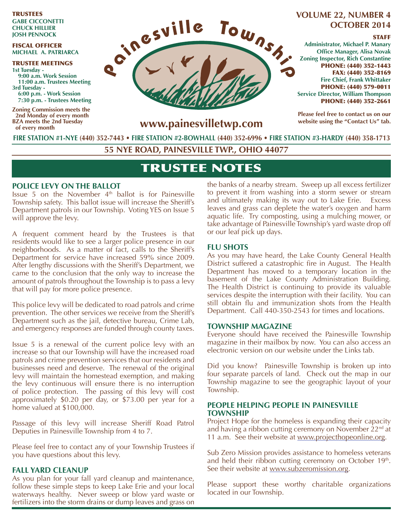TRUSTEES **GABE CICCONETTI CHUCK HILLIER JOSH PENNOCK**

#### FISCAL OFFICER **MICHAEL A. PATRIARCA**

TRUSTEE MEETINGS **1st Tuesday - 9:00 a.m. Work Session 11:00 a.m. Trustees Meeting 3rd Tuesday - 6:00 p.m. - Work Session 7:30 p.m. - Trustees Meeting** 

**Zoning Commission meets the 2nd Monday of every month BZA meets the 2nd Tuesday of every month**



# **OCTOBER 2014**

#### **STAFF**

**Administrator, Michael P. Manary Office Manager, Alisa Novak Zoning Inspector, Rich Constantine** PHONE: (440) 352-1443 FAX: (440) 352-8169 **Fire Chief, Frank Whittaker** PHONE: (440) 579-0011 **Service Director, William Thompson** PHONE: (440) 352-2661

**Please feel free to contact us on our website using the "Contact Us" tab.**

**www.painesvilletwp.com**

**FIRE STATION #1-NYE (440) 352-7443** • **FIRE STATION #2-BOWHALL (440) 352-6996 • FIRE STATION #3-HARDY (440) 358-1713**

**55 NYE ROAD, PAINESVILLE TWP., OHIO 44077**

# TRUSTEE NOTES

## **POLICE LEVY ON THE BALLOT**

Issue 5 on the November  $4<sup>th</sup>$  ballot is for Painesville Township safety. This ballot issue will increase the Sheriff's Department patrols in our Township. Voting YES on Issue 5 will approve the levy.

A frequent comment heard by the Trustees is that residents would like to see a larger police presence in our neighborhoods. As a matter of fact, calls to the Sheriff's Department for service have increased 59% since 2009. After lengthy discussions with the Sheriff's Department, we came to the conclusion that the only way to increase the amount of patrols throughout the Township is to pass a levy that will pay for more police presence.

This police levy will be dedicated to road patrols and crime prevention. The other services we receive from the Sheriff's Department such as the jail, detective bureau, Crime Lab, and emergency responses are funded through county taxes.

Issue 5 is a renewal of the current police levy with an increase so that our Township will have the increased road patrols and crime prevention services that our residents and businesses need and deserve. The renewal of the original levy will maintain the homestead exemption, and making the levy continuous will ensure there is no interruption of police protection. The passing of this levy will cost approximately \$0.20 per day, or \$73.00 per year for a home valued at \$100,000.

Passage of this levy will increase Sheriff Road Patrol Deputies in Painesville Township from 4 to 7.

Please feel free to contact any of your Township Trustees if you have questions about this levy.

## **FALL YARD CLEANUP**

As you plan for your fall yard cleanup and maintenance, follow these simple steps to keep Lake Erie and your local waterways healthy. Never sweep or blow yard waste or fertilizers into the storm drains or dump leaves and grass on the banks of a nearby stream. Sweep up all excess fertilizer to prevent it from washing into a storm sewer or stream and ultimately making its way out to Lake Erie. Excess leaves and grass can deplete the water's oxygen and harm aquatic life. Try composting, using a mulching mower, or take advantage of Painesville Township's yard waste drop off or our leaf pick up days.

#### **FLU SHOTS**

As you may have heard, the Lake County General Health District suffered a catastrophic fire in August. The Health Department has moved to a temporary location in the basement of the Lake County Administration Building. The Health District is continuing to provide its valuable services despite the interruption with their facility. You can still obtain flu and immunization shots from the Health Department. Call 440-350-2543 for times and locations.

#### **TOWNSHIP MAGAZINE**

Everyone should have received the Painesville Township magazine in their mailbox by now. You can also access an electronic version on our website under the Links tab.

Did you know? Painesville Township is broken up into four separate parcels of land. Check out the map in our Township magazine to see the geographic layout of your Township.

#### **PEOPLE HELPING PEOPLE IN PAINESVILLE TOWNSHIP**

Project Hope for the homeless is expanding their capacity and having a ribbon cutting ceremony on November  $22<sup>nd</sup>$  at 11 a.m. See their website at www.projecthopeonline.org.

Sub Zero Mission provides assistance to homeless veterans and held their ribbon cutting ceremony on October 19<sup>th</sup>. See their website at www.subzeromission.org.

Please support these worthy charitable organizations located in our Township.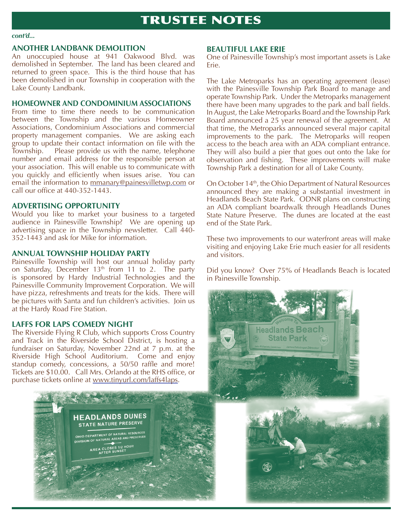#### *cont'd...*

## **ANOTHER LANDBANK DEMOLITION**

An unoccupied house at 941 Oakwood Blvd. was demolished in September. The land has been cleared and returned to green space. This is the third house that has been demolished in our Township in cooperation with the Lake County Landbank.

## **HOMEOWNER AND CONDOMINIUM ASSOCIATIONS**

From time to time there needs to be communication between the Township and the various Homeowner Associations, Condominium Associations and commercial property management companies. We are asking each group to update their contact information on file with the Township. Please provide us with the name, telephone number and email address for the responsible person at your association. This will enable us to communicate with you quickly and efficiently when issues arise. You can email the information to mmanary@painesvilletwp.com or call our office at  $440-352-1443$ .

# **ADVERTISING OPPORTUNITY**

Would you like to market your business to a targeted audience in Painesville Township? We are opening up advertising space in the Township newsletter. Call 440- 352-1443 and ask for Mike for information.

# **ANNUAL TOWNSHIP HOLIDAY PARTY**

Painesville Township will host our annual holiday party on Saturday, December 13<sup>th</sup> from 11 to 2. The party is sponsored by Hardy Industrial Technologies and the Painesville Community Improvement Corporation. We will have pizza, refreshments and treats for the kids. There will be pictures with Santa and fun children's activities. Join us at the Hardy Road Fire Station.

# **LAFFS FOR LAPS COMEDY NIGHT**

The Riverside Flying R Club, which supports Cross Country and Track in the Riverside School District, is hosting a fundraiser on Saturday, November 22nd at 7 p.m. at the Riverside High School Auditorium. Come and enjoy standup comedy, concessions, a 50/50 raffle and more! Tickets are \$10.00. Call Mrs. Orlando at the RHS office, or purchase tickets online at www.tinyurl.com/laffs4laps.



#### **BEAUTIFUL LAKE ERIE**

One of Painesville Township's most important assets is Lake Erie.

The Lake Metroparks has an operating agreement (lease) with the Painesville Township Park Board to manage and operate Township Park. Under the Metroparks management there have been many upgrades to the park and ball fields. In August, the Lake Metroparks Board and the Township Park Board announced a 25 year renewal of the agreement. At that time, the Metroparks announced several major capital improvements to the park. The Metroparks will reopen access to the beach area with an ADA compliant entrance. They will also build a pier that goes out onto the lake for observation and fishing. These improvements will make Township Park a destination for all of Lake County.

On October 14<sup>th</sup>, the Ohio Department of Natural Resources announced they are making a substantial investment in Headlands Beach State Park. ODNR plans on constructing an ADA compliant boardwalk through Headlands Dunes State Nature Preserve. The dunes are located at the east end of the State Park.

These two improvements to our waterfront areas will make visiting and enjoying Lake Erie much easier for all residents and visitors.

Did you know? Over 75% of Headlands Beach is located in Painesville Township.



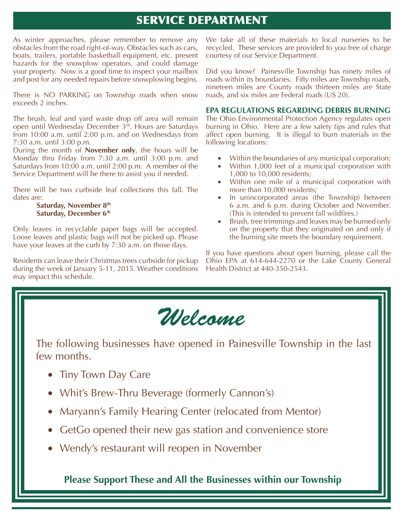# SERVICE DEPARTMENT

As winter approaches, please remember to remove any obstacles from the road right-of-way. Obstacles such as cars, boats, trailers, portable basketball equipment, etc. present hazards for the snowplow operators, and could damage your property. Now is a good time to inspect your mailbox and post for any needed repairs before snowplowing begins.

There is NO PARKING on Township roads when snow exceeds 2 inches.

The brush, leaf and yard waste drop off area will remain open until Wednesday December 3rd. Hours are Saturdays from 10:00 a.m. until 2:00 p.m. and on Wednesdays from 7:30 a.m. until 3:00 p.m.

During the month of **November only**, the hours will be Monday thru Friday from 7:30 a.m. until 3:00 p.m. and Saturdays from 10:00 a.m. until 2:00 p.m. A member of the Service Department will be there to assist you if needed.

There will be two curbside leaf collections this fall. The dates are:

#### **Saturday, November 8th Saturday, December 6th**

Only leaves in recyclable paper bags will be accepted. Loose leaves and plastic bags will not be picked up. Please have your leaves at the curb by 7:30 a.m. on those days.

Residents can leave their Christmas trees curbside for pickup during the week of January 5-11, 2015. Weather conditions may impact this schedule.

We take all of these materials to local nurseries to be recycled. These services are provided to you free of charge courtesy of our Service Department.

Did you know? Painesville Township has ninety miles of roads within its boundaries. Fifty miles are Township roads, nineteen miles are County roads thirteen miles are State roads, and six miles are Federal roads (US 20).

### **EPA REGULATIONS REGARDING DEBRIS BURNING**

The Ohio Environmental Protection Agency regulates open burning in Ohio. Here are a few safety tips and rules that affect open burning. It is illegal to burn materials in the following locations:

- Within the boundaries of any municipal corporation;
- Within 1,000 feet of a municipal corporation with 1,000 to 10,000 residents;
- Within one mile of a municipal corporation with more than 10,000 residents;
- In unincorporated areas (the Township) between 6 a.m. and 6 p.m. during October and November. (This is intended to prevent fall wildfires.)
- Brush, tree trimmings and leaves may be burned only on the property that they originated on and only if the burning site meets the boundary requirement.

If you have questions about open burning, please call the Ohio EPA at 614-644-2270 or the Lake County General Health District at 440-350-2543.



The following businesses have opened in Painesville Township in the last few months.

- Tiny Town Day Care
- Whit's Brew-Thru Beverage (formerly Cannon's)
- Maryann's Family Hearing Center (relocated from Mentor)
- GetGo opened their new gas station and convenience store
- Wendy's restaurant will reopen in November

**Please Support These and All the Businesses within our Township**